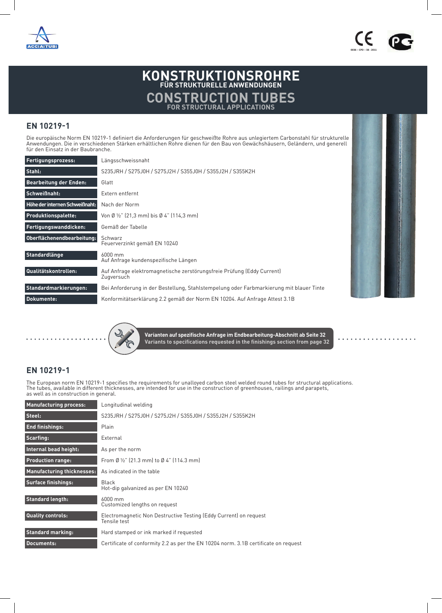



 $\sim$   $\sim$   $\sim$  $\ddot{\phantom{a}}$  $\ddot{\phantom{a}}$  $\sim$   $\sim$   $\bullet$  $\bullet$  Certificazione di prodotto CE per i tubi prodotti in accordo alla normativa

EN 10219-1:2006

## **KONSTRUKTIONSROHRE FÜR STRUKTURELLE ANWENDUNGEN CONSTRUCTION TUBES FOR STRUCTURAL APPLICATIONS**

## **EN 10219-1**

Die europäische Norm EN 10219-1 definiert die Anforderungen für geschweißte Rohre aus unlegiertem Carbonstahl für strukturelle Anwendungen. Die in verschiedenen Stärken erhältlichen Rohre dienen für den Bau von Gewächshäusern, Geländern, und generell für den Einsatz in der Baubranche.

| Fertigungsprozess:             | Längsschweissnaht                                                                       |
|--------------------------------|-----------------------------------------------------------------------------------------|
| Stahl:                         | S235JRH / S275J0H / S275J2H / S355J0H / S355J2H / S355K2H                               |
| <b>Bearbeitung der Enden:</b>  | Glatt                                                                                   |
| Schweißnaht:                   | Extern entfernt                                                                         |
| Höhe der internen Schweißnaht: | Nach der Norm                                                                           |
| <b>Produktionspalette:</b>     | Von Ø ½" (21,3 mm) bis Ø 4" (114,3 mm)                                                  |
| Fertigungswanddicken:          | Gemäß der Tabelle                                                                       |
| Oberflächenendbearbeitung:     | Schwarz<br>Feuerverzinkt gemäß EN 10240                                                 |
| Standardlänge                  | 6000 mm<br>Auf Anfrage kundenspezifische Längen                                         |
| Qualitätskontrollen:           | Auf Anfrage elektromagnetische zerstörungsfreie Prüfung (Eddy Current)<br>Zugversuch    |
| Standardmarkierungen:          | Bei Anforderung in der Bestellung, Stahlstempelung oder Farbmarkierung mit blauer Tinte |
| Dokumente:                     | Konformitätserklärung 2.2 gemäß der Norm EN 10204. Auf Anfrage Attest 3.1B              |



**Varianten auf spezifische Anfrage im Endbearbeitung-Abschnitt ab Seite 32 Variants to specifications requested in the finishings section from page 32**

## **EN 10219-1**

The European norm EN 10219-1 specifies the requirements for unalloyed carbon steel welded round tubes for structural applications. The tubes, available in different thicknesses, are intended for use in the construction of greenhouses, railings and parapets, as well as in construction in general.

| <b>Manufacturing process:</b>     | Longitudinal welding                                                                |
|-----------------------------------|-------------------------------------------------------------------------------------|
| Steel:                            | S235JRH / S275J0H / S275J2H / S355J0H / S355J2H / S355K2H                           |
| <b>End finishings:</b>            | Plain                                                                               |
| Scarfing:                         | External                                                                            |
| Internal bead height:             | As per the norm                                                                     |
| <b>Production range:</b>          | From Ø $\frac{1}{2}$ " (21.3 mm) to Ø 4" (114.3 mm)                                 |
| <b>Manufacturing thicknesses:</b> | As indicated in the table                                                           |
| <b>Surface finishings:</b>        | Black<br>Hot-dip galvanized as per EN 10240                                         |
| <b>Standard length:</b>           | 6000 mm<br>Customized lengths on request                                            |
| <b>Quality controls:</b>          | Electromagnetic Non Destructive Testing (Eddy Current) on request<br>Tensile test   |
| <b>Standard marking:</b>          | Hard stamped or ink marked if requested                                             |
| <b>Documents:</b>                 | Certificate of conformity 2.2 as per the EN 10204 norm. 3.1B certificate on request |